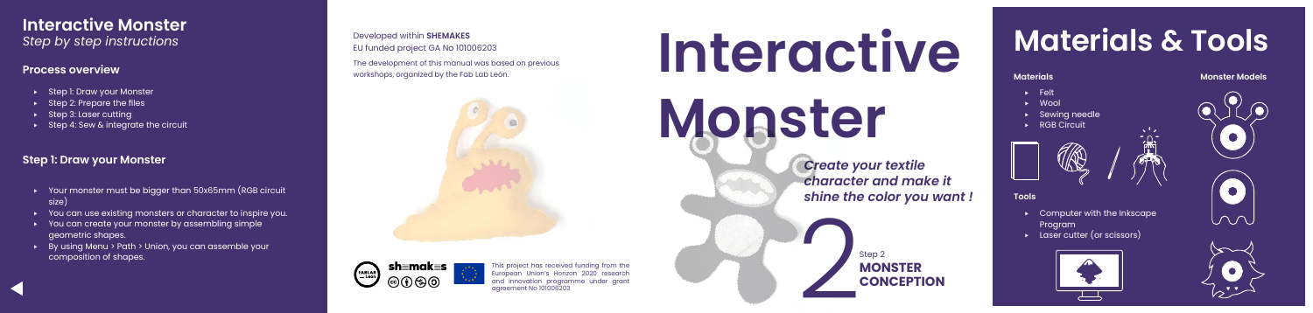*Create your textile character and make it shine the color you want !*

> **MONSTER CONCEPTION**

Step 2



Developed within **SHEMAKES**  EU funded project GA No 101006203

The development of this manual was based on previous





- ▸ Felt
- ▸ Wool
- ▸ Sewing needle

**TRE** 

▸ RGB Circuit



# **Materials & Tools**

#### **Tools**

- ▸ Computer with the Inkscape Program
- ▸ Laser cutter (or scissors)



# **Interactive Monster** *Step by step instructions*

### **Process overview**

- ▸ Step 1: Draw your Monster
- ▸ Step 2: Prepare the files
- ▸ Step 3: Laser cutting
- ▸ Step 4: Sew & integrate the circuit

# **Step 1: Draw your Monster**

- ▸ Your monster must be bigger than 50x65mm (RGB circuit size)
- ▸ You can use existing monsters or character to inspire you.
- You can create your monster by assembling simple geometric shapes.
- ▸ By using Menu > Path > Union, you can assemble your composition of shapes.

### **Monster Models**





This project has received funding from the European Union's Horizon 2020 research and innovation programme under grant agreement No 101006203

# **Interactive Monster** workshops, organized by the Fab Lab León. **Materials Materials Materials Materials**